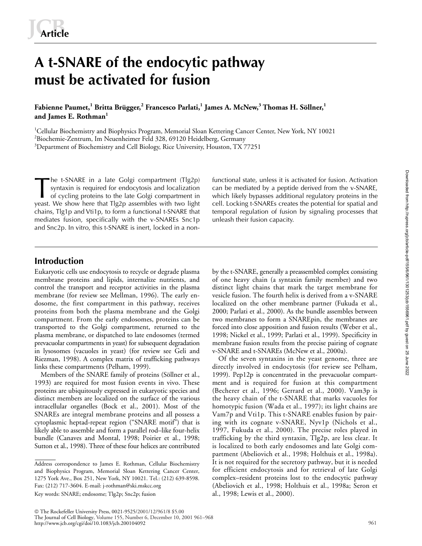# **A t-SNARE of the endocytic pathway must be activated for fusion**

**Fabienne Paumet,<sup>1</sup> Britta Brügger,<sup>2</sup> Francesco Parlati,<sup>1</sup> James A. McNew,<sup>3</sup> Thomas H. Söllner,<sup>1</sup> and James E. Rothman<sup>1</sup>**

<sup>1</sup>Cellular Biochemistry and Biophysics Program, Memorial Sloan Kettering Cancer Center, New York, NY 10021 2 Biochemie-Zentrum, Im Neuenheimer Feld 328, 69120 Heidelberg, Germany  ${}^{3}$ Department of Biochemistry and Cell Biology, Rice University, Houston, TX 77251

he t-SNARE in a late Golgi compartment (Tlg2p) syntaxin is required for endocytosis and localization of cycling proteins to the late Golgi compartment in yeast. We show here that Tlg2p assembles with two light chains, Tlg1p and Vti1p, to form a functional t-SNARE that mediates fusion, specifically with the v-SNAREs Snc1p and Snc2p. In vitro, this t-SNARE is inert, locked in a non-The t-SNARE in a late Golgi compartment (Tlg2p) functional state, unless it is activated for fusion. Activation syntaxin is required for endocytosis and localization can be mediated by a peptide derived from the v-SNARE, o

can be mediated by a peptide derived from the v-SNARE, which likely bypasses additional regulatory proteins in the cell. Locking t-SNAREs creates the potential for spatial and temporal regulation of fusion by signaling processes that unleash their fusion capacity.

## **Introduction**

Eukaryotic cells use endocytosis to recycle or degrade plasma membrane proteins and lipids, internalize nutrients, and control the transport and receptor activities in the plasma membrane (for review see Mellman, 1996). The early endosome, the first compartment in this pathway, receives proteins from both the plasma membrane and the Golgi compartment. From the early endosomes, proteins can be transported to the Golgi compartment, returned to the plasma membrane, or dispatched to late endosomes (termed prevacuolar compartments in yeast) for subsequent degradation in lysosomes (vacuoles in yeast) (for review see Geli and Riezman, 1998). A complex matrix of trafficking pathways links these compartments (Pelham, 1999).

Members of the SNARE family of proteins (Söllner et al., 1993) are required for most fusion events in vivo. These proteins are ubiquitously expressed in eukaryotic species and distinct members are localized on the surface of the various intracellular organelles (Bock et al., 2001). Most of the SNAREs are integral membrane proteins and all possess a cytoplasmic heptad-repeat region ("SNARE motif") that is likely able to assemble and form a parallel rod–like four-helix bundle (Canaves and Montal, 1998; Poirier et al., 1998; Sutton et al., 1998). Three of these four helices are contributed

Key words: SNARE; endosome; Tlg2p; Snc2p; fusion

by the t-SNARE, generally a preassembled complex consisting of one heavy chain (a syntaxin family member) and two distinct light chains that mark the target membrane for vesicle fusion. The fourth helix is derived from a v-SNARE localized on the other membrane partner (Fukuda et al., 2000; Parlati et al., 2000). As the bundle assembles between two membranes to form a SNAREpin, the membranes are forced into close apposition and fusion results (Weber et al., 1998; Nickel et al., 1999; Parlati et al., 1999). Specificity in membrane fusion results from the precise pairing of cognate v-SNARE and t-SNAREs (McNew et al., 2000a).

Of the seven syntaxins in the yeast genome, three are directly involved in endocytosis (for review see Pelham, 1999). Pep12p is concentrated in the prevacuolar compartment and is required for fusion at this compartment (Becherer et al., 1996; Gerrard et al., 2000). Vam3p is the heavy chain of the t-SNARE that marks vacuoles for homotypic fusion (Wada et al., 1997); its light chains are Vam7p and Vti1p. This t-SNARE enables fusion by pairing with its cognate v-SNARE, Nyv1p (Nichols et al., 1997, Fukuda et al., 2000). The precise roles played in trafficking by the third syntaxin, Tlg2p, are less clear. It is localized to both early endosomes and late Golgi compartment (Abeliovich et al., 1998; Holthuis et al., 1998a). It is not required for the secretory pathway, but it is needed for efficient endocytosis and for retrieval of late Golgi complex–resident proteins lost to the endocytic pathway (Abeliovich et al., 1998; Holthuis et al., 1998a; Seron et al., 1998; Lewis et al., 2000).

http://www.jcb.org/cgi/doi/10.1083/jcb.200104092

Address correspondence to James E. Rothman, Cellular Biochemistry and Biophysics Program, Memorial Sloan Kettering Cancer Center, 1275 York Ave., Box 251, New York, NY 10021. Tel.: (212) 639-8598. Fax: (212) 717-3604. E-mail: j-rothman@ski.mskcc.org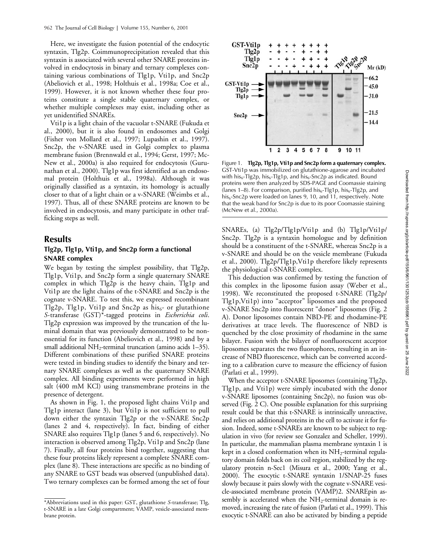Here, we investigate the fusion potential of the endocytic syntaxin, Tlg2p. Coimmunoprecipitation revealed that this syntaxin is associated with several other SNARE proteins involved in endocytosis in binary and ternary complexes containing various combinations of Tlg1p, Vti1p, and Snc2p (Abeliovich et al., 1998; Holthuis et al., 1998a; Coe et al., 1999). However, it is not known whether these four proteins constitute a single stable quaternary complex, or whether multiple complexes may exist, including other as yet unidentified SNAREs.

Vti1p is a light chain of the vacuolar t-SNARE (Fukuda et al., 2000), but it is also found in endosomes and Golgi (Fisher von Mollard et al., 1997; Lupashin et al., 1997). Snc2p, the v-SNARE used in Golgi complex to plasma membrane fusion (Brennwald et al., 1994; Gerst, 1997; Mc-New et al., 2000a) is also required for endocytosis (Gurunathan et al., 2000). Tlg1p was first identified as an endosomal protein (Holthuis et al., 1998a). Although it was originally classified as a syntaxin, its homology is actually closer to that of a light chain or a v-SNARE (Weimbs et al., 1997). Thus, all of these SNARE proteins are known to be involved in endocytosis, and many participate in other trafficking steps as well.

### **Results**

### **Tlg2p, Tlg1p, Vti1p, and Snc2p form a functional SNARE complex**

We began by testing the simplest possibility, that Tlg2p, Tlg1p, Vti1p, and Snc2p form a single quaternary SNARE complex in which Tlg2p is the heavy chain, Tlg1p and Vti1p are the light chains of the t-SNARE and Snc2p is the cognate v-SNARE. To test this, we expressed recombinant Tlg2p, Tlg1p, Vti1p and Snc2p as his $_6$ - or glutathione *S*-transferase (GST)\*-tagged proteins in *Escherichia coli*. Tlg2p expression was improved by the truncation of the luminal domain that was previously demonstrated to be nonessential for its function (Abeliovich et al., 1998) and by a small additional NH<sub>2</sub>-terminal truncation (amino acids  $1-35$ ). Different combinations of these purified SNARE proteins were tested in binding studies to identify the binary and ternary SNARE complexes as well as the quaternary SNARE complex. All binding experiments were performed in high salt (400 mM KCl) using transmembrane proteins in the presence of detergent.

As shown in Fig. 1, the proposed light chains Vti1p and Tlg1p interact (lane 3), but Vti1p is not sufficient to pull down either the syntaxin Tlg2p or the v-SNARE Snc2p (lanes 2 and 4, respectively). In fact, binding of either SNARE also requires Tlg1p (lanes 5 and 6, respectively). No interaction is observed among Tlg2p, Vti1p and Snc2p (lane 7). Finally, all four proteins bind together, suggesting that these four proteins likely represent a complete SNARE complex (lane 8). These interactions are specific as no binding of any SNARE to GST beads was observed (unpublished data). Two ternary complexes can be formed among the set of four



Figure 1. **Tlg2p, Tlg1p, Vti1p and Snc2p form a quaternary complex.**  GST-Vti1p was immobilized on glutathione-agarose and incubated with his<sub>6</sub>-Tlg2p, his<sub>6</sub>-Tlg1p, and his<sub>6</sub>-Snc2p as indicated. Bound proteins were then analyzed by SDS-PAGE and Coomassie staining (lanes  $1-8$ ). For comparison, purified his $_6$ -Tlg1p, his $_6$ -Tlg2p, and his<sub>6</sub>-Snc2p were loaded on lanes 9, 10, and 11, respectively. Note that the weak band for Snc2p is due to its poor Coomassie staining (McNew et al., 2000a).

SNAREs, (a) Tlg2p/Tlg1p/Vti1p and (b) Tlg1p/Vti1p/ Snc2p. Tlg2p is a syntaxin homologue and by definition should be a constituent of the t-SNARE, whereas Snc2p is a v-SNARE and should be on the vesicle membrane (Fukuda et al., 2000). Tlg2p/Tlg1p,Vti1p therefore likely represents the physiological t-SNARE complex.

This deduction was confirmed by testing the function of this complex in the liposome fusion assay (Weber et al., 1998). We reconstituted the proposed t-SNARE (Tlg2p/ Tlg1p,Vti1p) into "acceptor" liposomes and the proposed v-SNARE Snc2p into fluorescent "donor" liposomes (Fig. 2 A). Donor liposomes contain NBD-PE and rhodamine-PE derivatives at trace levels. The fluorescence of NBD is quenched by the close proximity of rhodamine in the same bilayer. Fusion with the bilayer of nonfluorescent acceptor liposomes separates the two fluorophores, resulting in an increase of NBD fluorescence, which can be converted according to a calibration curve to measure the efficiency of fusion (Parlati et al., 1999).

When the acceptor t-SNARE liposomes (containing Tlg2p, Tlg1p, and Vti1p) were simply incubated with the donor v-SNARE liposomes (containing Snc2p), no fusion was observed (Fig. 2 C). One possible explanation for this surprising result could be that this t-SNARE is intrinsically unreactive, and relies on additional proteins in the cell to activate it for fusion. Indeed, some t-SNAREs are known to be subject to regulation in vivo (for review see Gonzalez and Scheller, 1999). In particular, the mammalian plasma membrane syntaxin 1 is kept in a closed conformation when its  $NH_2$ -terminal regulatory domain folds back on its coil region, stabilized by the regulatory protein n-Sec1 (Misura et al., 2000; Yang et al., 2000). The exocytic t-SNARE syntaxin 1/SNAP-25 fuses slowly because it pairs slowly with the cognate v-SNARE vesicle-associated membrane protein (VAMP)2. SNAREpin assembly is accelerated when the  $NH_2$ -terminal domain is removed, increasing the rate of fusion (Parlati et al., 1999). This exocytic t-SNARE can also be activated by binding a peptide

<sup>\*</sup>Abbreviations used in this paper: GST, glutathione *S*-transferase; Tlg, t-SNARE in a late Golgi compartment; VAMP, vesicle-associated membrane protein.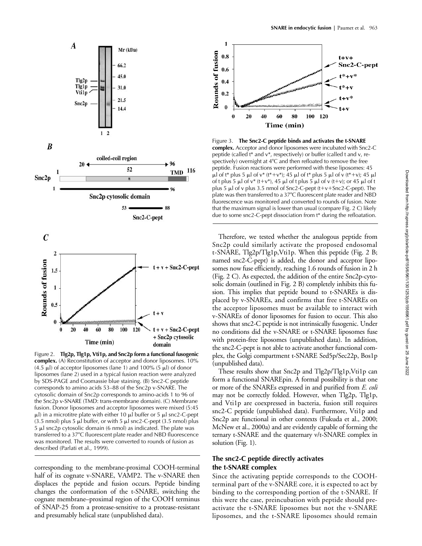

Figure 2. **Tlg2p, Tlg1p, Vti1p, and Snc2p form a functional fusogenic complex.** (A) Reconstitution of acceptor and donor liposomes. 10% (4.5  $\mu$ l) of acceptor liposomes (lane 1) and 100% (5  $\mu$ l) of donor liposomes (lane 2) used in a typical fusion reaction were analyzed by SDS-PAGE and Coomassie blue staining. (B) Snc2-C peptide corresponds to amino acids 53–88 of the Snc2p v-SNARE. The cytosolic domain of Snc2p corresponds to amino-acids 1 to 96 of the Snc2p v-SNARE (TMD: trans-membrane domain). (C) Membrane fusion. Donor liposomes and acceptor liposomes were mixed (5:45  $\mu$ l) in a microtitre plate with either 10  $\mu$ l buffer or 5  $\mu$ l snc2-C-pept (3.5 nmol) plus 5  $\mu$ l buffer, or with 5  $\mu$ l snc2-C-pept (3.5 nmol) plus 5 µl snc2p cytosolic domain (6 nmol) as indicated. The plate was transferred to a 37°C fluorescent plate reader and NBD fluorescence was monitored. The results were converted to rounds of fusion as described (Parlati et al., 1999).

corresponding to the membrane-proximal COOH-terminal half of its cognate v-SNARE, VAMP2. The v-SNARE then displaces the peptide and fusion occurs. Peptide binding changes the conformation of the t-SNARE, switching the cognate membrane–proximal region of the COOH terminus of SNAP-25 from a protease-sensitive to a protease-resistant and presumably helical state (unpublished data).



Figure 3. **The Snc2-C peptide binds and activates the t-SNARE complex.** Acceptor and donor liposomes were incubated with Snc2-C peptide (called t\* and v\*, respectively) or buffer (called t and v, respectively) overnight at  $4^{\circ}$ C and then refloated to remove the free peptide. Fusion reactions were performed with these liposomes: 45  $\mu$ l of t\* plus 5  $\mu$ l of v\* (t\*+v\*); 45  $\mu$ l of t\* plus 5  $\mu$ l of v (t\*+v); 45  $\mu$ l of t plus 5  $\mu$ l of v\* (t+v\*), 45  $\mu$ l of t plus 5  $\mu$ l of v (t+v); or 45  $\mu$ l of t plus 5  $\mu$ l of v plus 3.5 nmol of Snc2-C-pept (t+v+Snc2-C-pept). The plate was then transferred to a 37°C fluorescent plate reader and NBD fluorescence was monitored and converted to rounds of fusion. Note that the maximum signal is lower than usual (compare Fig. 2 C) likely due to some snc2-C-pept dissociation from t\* during the refloatation.

Therefore, we tested whether the analogous peptide from Snc2p could similarly activate the proposed endosomal t-SNARE, Tlg2p/Tlg1p,Vti1p. When this peptide (Fig. 2 B; named snc2-C-pept) is added, the donor and acceptor liposomes now fuse efficiently, reaching 1.6 rounds of fusion in 2 h (Fig. 2 C). As expected, the addition of the entire Snc2p-cytosolic domain (outlined in Fig. 2 B) completely inhibits this fusion. This implies that peptide bound to t-SNAREs is displaced by v-SNAREs, and confirms that free t-SNAREs on the acceptor liposomes must be available to interact with v-SNAREs of donor liposomes for fusion to occur. This also shows that snc2-C peptide is not intrinsically fusogenic. Under no conditions did the v-SNARE or t-SNARE liposomes fuse with protein-free liposomes (unpublished data). In addition, the snc2-C-pept is not able to activate another functional complex, the Golgi compartment t-SNARE Sed5p/Sec22p, Bos1p (unpublished data).

These results show that Snc2p and Tlg2p/Tlg1p,Vti1p can form a functional SNAREpin. A formal possibility is that one or more of the SNAREs expressed in and purified from *E. coli* may not be correctly folded. However, when Tlg2p, Tlg1p, and Vti1p are coexpressed in bacteria, fusion still requires snc2-C peptide (unpublished data). Furthermore, Vti1p and Snc2p are functional in other contexts (Fukuda et al., 2000; McNew et al., 2000a) and are evidently capable of forming the ternary t-SNARE and the quaternary v/t-SNARE complex in solution (Fig. 1).

### **The snc2-C peptide directly activates the t-SNARE complex**

Since the activating peptide corresponds to the COOHterminal part of the v-SNARE core, it is expected to act by binding to the corresponding portion of the t-SNARE. If this were the case, preincubation with peptide should preactivate the t-SNARE liposomes but not the v-SNARE liposomes, and the t-SNARE liposomes should remain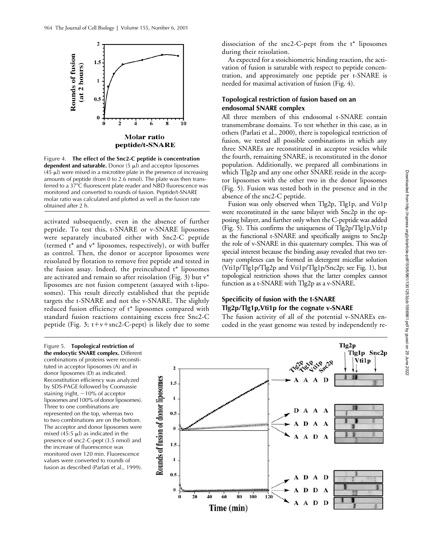

Figure 4. **The effect of the Snc2-C peptide is concentration dependent and saturable.** Donor  $(5 \mu)$  and acceptor liposomes  $(45 \mu)$  were mixed in a microtitre plate in the presence of increasing amounts of peptide (from 0 to 2.6 nmol). The plate was then transferred to a 37°C fluorescent plate reader and NBD fluorescence was monitored and converted to rounds of fusion. Peptide/t-SNARE molar ratio was calculated and plotted as well as the fusion rate obtained after 2 h.

activated subsequently, even in the absence of further peptide. To test this, t-SNARE or v-SNARE liposomes were separately incubated either with Snc2-C peptide (termed t\* and v\* liposomes, respectively), or with buffer as control. Then, the donor or acceptor liposomes were reisolated by flotation to remove free peptide and tested in the fusion assay. Indeed, the preincubated  $t^*$  liposomes are activated and remain so after reisolation (Fig. 3) but v\* liposomes are not fusion competent (assayed with t-liposomes). This result directly established that the peptide targets the t-SNARE and not the v-SNARE. The slightly reduced fusion efficiency of t\* liposomes compared with standard fusion reactions containing excess free Snc2-C peptide (Fig. 3;  $t+v+snc2-C$ -pept) is likely due to some

dissociation of the snc2-C-pept from the  $t^*$  liposomes during their reisolation.

As expected for a stoichiometric binding reaction, the activation of fusion is saturable with respect to peptide concentration, and approximately one peptide per t-SNARE is needed for maximal activation of fusion (Fig. 4).

### **Topological restriction of fusion based on an endosomal SNARE complex**

All three members of this endosomal t-SNARE contain transmembrane domains. To test whether in this case, as in others (Parlati et al., 2000), there is topological restriction of fusion, we tested all possible combinations in which any three SNAREs are reconstituted in acceptor vesicles while the fourth, remaining SNARE, is reconstituted in the donor population. Additionally, we prepared all combinations in which Tlg2p and any one other SNARE reside in the acceptor liposomes with the other two in the donor liposomes (Fig. 5). Fusion was tested both in the presence and in the absence of the snc2-C peptide.

Fusion was only observed when Tlg2p, Tlg1p, and Vti1p were reconstituted in the same bilayer with Snc2p in the opposing bilayer, and further only when the C-peptide was added (Fig. 5). This confirms the uniqueness of Tlg2p/Tlg1p,Vti1p as the functional t-SNARE and specifically assigns to Snc2p the role of v-SNARE in this quaternary complex. This was of special interest because the binding assay revealed that two ternary complexes can be formed in detergent micellar solution (Vti1p/Tlg1p/Tlg2p and Vti1p/Tlg1p/Snc2p; see Fig. 1), but topological restriction shows that the latter complex cannot function as a t-SNARE with Tlg2p as a v-SNARE.

### **Specificity of fusion with the t-SNARE Tlg2p/Tlg1p,Vti1p for the cognate v-SNARE**

The fusion activity of all of the potential v-SNAREs encoded in the yeast genome was tested by independently re-

Figure 5. **Topological restriction of the endocytic SNARE complex.** Different combinations of proteins were reconstituted in acceptor liposomes (A) and in donor liposomes (D) as indicated. Reconstitution efficiency was analyzed by SDS-PAGE followed by Coomassie staining (right,  $-10\%$  of acceptor liposomes and 100% of donor liposomes). Three to one combinations are represented on the top, whereas two to two combinations are on the bottom. The acceptor and donor liposomes were mixed  $(45:5 \mu l)$  as indicated in the presence of snc2-C-pept (3.5 nmol) and the increase of fluorescence was monitored over 120 min. Fluorescence values were converted to rounds of fusion as described (Parlati et al., 1999).

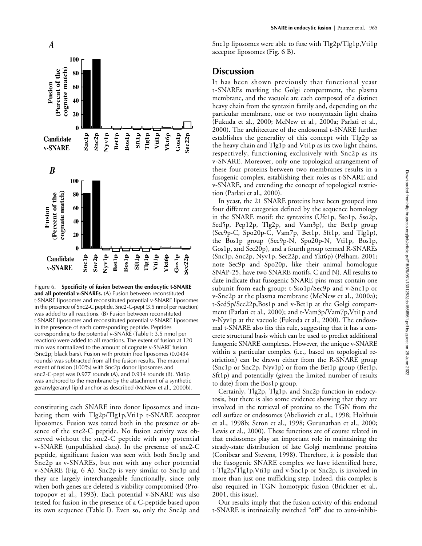

Figure 6. **Specificity of fusion between the endocytic t-SNARE and all potential v-SNAREs.** (A) Fusion between reconstituted t-SNARE liposomes and reconstituted potential v-SNARE liposomes in the presence of Snc2-C peptide. Snc2-C-pept (3.5 nmol per reaction) was added to all reactions. (B) Fusion between reconstituted t-SNARE liposomes and reconstituted potential v-SNARE liposomes in the presence of each corresponding peptide. Peptides corresponding to the potential v-SNARE (Table I; 3.5 nmol per reaction) were added to all reactions. The extent of fusion at 120 min was normalized to the amount of cognate v-SNARE fusion (Snc2p; black bars). Fusion with protein free liposomes (0.0434 rounds) was subtracted from all the fusion results. The maximal extent of fusion (100%) with Snc2p donor liposomes and snc2-C-pept was 0.977 rounds (A), and 0.934 rounds (B). Ykt6p was anchored to the membrane by the attachment of a synthetic geranylgeranyl lipid anchor as described (McNew et al., 2000b).

constituting each SNARE into donor liposomes and incubating them with Tlg2p/Tlg1p,Vti1p t-SNARE acceptor liposomes. Fusion was tested both in the presence or absence of the snc2-C peptide. No fusion activity was observed without the snc2-C peptide with any potential v-SNARE (unpublished data). In the presence of snc2-C peptide, significant fusion was seen with both Snc1p and Snc2p as v-SNAREs, but not with any other potential v-SNARE (Fig. 6 A). Snc2p is very similar to Snc1p and they are largely interchangeable functionally, since only when both genes are deleted is viability compromised (Protopopov et al., 1993). Each potential v-SNARE was also tested for fusion in the presence of a C-peptide based upon its own sequence (Table I). Even so, only the Snc2p and Snc1p liposomes were able to fuse with Tlg2p/Tlg1p,Vti1p acceptor liposomes (Fig. 6 B).

### **Discussion**

It has been shown previously that functional yeast t-SNAREs marking the Golgi compartment, the plasma membrane, and the vacuole are each composed of a distinct heavy chain from the syntaxin family and, depending on the particular membrane, one or two nonsyntaxin light chains (Fukuda et al., 2000; McNew et al., 2000a; Parlati et al., 2000). The architecture of the endosomal t-SNARE further establishes the generality of this concept with Tlg2p as the heavy chain and Tlg1p and Vti1p as its two light chains, respectively, functioning exclusively with Snc2p as its v-SNARE. Moreover, only one topological arrangement of these four proteins between two membranes results in a fusogenic complex, establishing their roles as t-SNARE and v-SNARE, and extending the concept of topological restriction (Parlati et al., 2000).

In yeast, the 21 SNARE proteins have been grouped into four different categories defined by the sequence homology in the SNARE motif: the syntaxins (Ufe1p, Sso1p, Sso2p, Sed5p, Pep12p, Tlg2p, and Vam3p), the Bet1p group (Sec9p-C, Spo20p-C, Vam7p, Bet1p, Sft1p, and Tlg1p), the Bos1p group (Sec9p-N, Spo20p-N, Vti1p, Bos1p, Gos1p, and Sec20p), and a fourth group termed R-SNAREs (Snc1p, Snc2p, Nyv1p, Sec22p, and Ykt6p) (Pelham, 2001; note Sec9p and Spo20p, like their animal homologue SNAP-25, have two SNARE motifs, C and N). All results to date indicate that fusogenic SNARE pins must contain one subunit from each group: t-Sso1p/Sec9p and v-Snc1p or v-Snc2p at the plasma membrane (McNew et al., 2000a); t-Sed5p/Sec22p,Bos1p and v-Bet1p at the Golgi compartment (Parlati et al., 2000); and t-Vam3p/Vam7p,Vti1p and v-Nyv1p at the vacuole (Fukuda et al., 2000). The endosomal t-SNARE also fits this rule, suggesting that it has a concrete structural basis which can be used to predict additional fusogenic SNARE complexes. However, the unique v-SNARE within a particular complex (i.e., based on topological restriction) can be drawn either from the R-SNARE group (Snc1p or Snc2p, Nyv1p) or from the Bet1p group (Bet1p, Sft1p) and potentially (given the limited number of results to date) from the Bos1p group.

Certainly, Tlg2p, Tlg1p, and Snc2p function in endocytosis, but there is also some evidence showing that they are involved in the retrieval of proteins to the TGN from the cell surface or endosomes (Abeliovich et al., 1998; Holthuis et al., 1998b; Seron et al., 1998; Gurunathan et al., 2000; Lewis et al., 2000). These functions are of course related in that endosomes play an important role in maintaining the steady-state distribution of late Golgi membrane proteins (Conibear and Stevens, 1998). Therefore, it is possible that the fusogenic SNARE complex we have identified here, t-Tlg2p/Tlg1p,Vti1p and v-Snc1p or Snc2p, is involved in more than just one trafficking step. Indeed, this complex is also required in TGN homotypic fusion (Brickner et al., 2001, this issue).

Our results imply that the fusion activity of this endomal t-SNARE is intrinsically switched "off" due to auto-inhibi-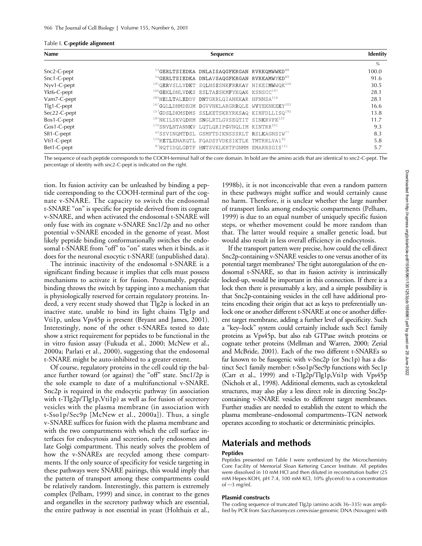#### Table I. **C-peptide alignment**

| <b>Name</b>   | Sequence                                                             | Identity |
|---------------|----------------------------------------------------------------------|----------|
|               |                                                                      | $\%$     |
| Snc2-C-pept   | 53 GERLTSIEDKA DNLAISAQGFKRGAN RVRKQMWWKD <sup>88</sup>              | 100.0    |
| Snc1-C-pept   | <sup>54</sup> GERLTSIEDKA DNLAVSAQGFKRGAN RVRKAMWYKD <sup>89</sup>   | 91.6     |
| Nyv1-C-pept   | <sup>191</sup> QERVSLLVDKT SQLNSSSNKFRRKAV NIKEIMWWQK <sup>226</sup> | 30.5     |
| Ykt6-C-pept   | <sup>166</sup> GEKLDNLVDKS ESLTASSKMFYKQAK KSNSCC <sup>197</sup>     | 28.1     |
| Vam7-C-pept   | <sup>285</sup> NELLTALEDDV DNTGRRLQIANKKAR HFNNSA <sup>316</sup>     | 28.1     |
| $Tlg1-C-pept$ | <sup>167</sup> GQLLDNMDEGM DGVVNKLARGRRQLE WVYEKNKEKY <sup>202</sup> | 16.6     |
| Sec22-C-pept  | <sup>157</sup> GDSLDKMSDMS SSLKETSKRYRKSAQ KINFDLLISQ <sup>192</sup> | 13.8     |
| Bos1-C-pept   | <sup>187</sup> NKILSKVQDRM SNGLRTLGVSEQTIT SINKRVFK <sup>220</sup>   | 11.7     |
| Gos1-C-pept   | <sup>170</sup> SNVLNTANNKV LQTLQRIPGVNQLIM KINTRR <sup>201</sup>     | 9.3      |
| Sft1-C-pept   | 42SSVINQMTDSL GSMFTDIKNSSSRLT RSLKAGNSIW <sup>77</sup>               | 8.3      |
| Vti1-C-pept   | <sup>159</sup> RETLENARQTL FQADSYVDKSIKTLK TMTRRLVA1 <sup>92</sup>   | 5.8      |
| Bet1-C-pept   | <sup>87</sup> NQTIDQLGDTF HNTSVKLKRTFGNMM EMARRSGIS <sup>121</sup>   | 5.7      |

The sequence of each peptide corresponds to the COOH-terminal half of the core domain. In bold are the amino acids that are identical to snc2-C-pept. The percentage of identity with snc2-C-pept is indicated on the right.

tion. Its fusion activity can be unleashed by binding a peptide corresponding to the COOH-terminal part of the cognate v-SNARE. The capacity to switch the endosomal t-SNARE "on" is specific for peptide derived from its cognate v-SNARE, and when activated the endosomal t-SNARE will only fuse with its cognate v-SNARE Snc1/2p and no other potential v-SNARE encoded in the genome of yeast. Most likely peptide binding conformationally switches the endosomal t-SNARE from "off" to "on" states when it binds, as it does for the neuronal exocytic t-SNARE (unpublished data).

The intrinsic inactivity of the endosomal t-SNARE is a significant finding because it implies that cells must possess mechanisms to activate it for fusion. Presumably, peptide binding throws the switch by tapping into a mechanism that is physiologically reserved for certain regulatory proteins. Indeed, a very recent study showed that Tlg2p is locked in an inactive state, unable to bind its light chains Tlg1p and Vti1p, unless Vps45p is present (Bryant and James, 2001). Interestingly, none of the other t-SNAREs tested to date show a strict requirement for peptides to be functional in the in vitro fusion assay (Fukuda et al., 2000; McNew et al., 2000a; Parlati et al., 2000), suggesting that the endosomal t-SNARE might be auto-inhibited to a greater extent.

Of course, regulatory proteins in the cell could tip the balance further toward (or against) the "off" state. Snc1/2p is the sole example to date of a multifunctional v-SNARE. Snc2p is required in the endocytic pathway (in association with t-Tlg2p/Tlg1p,Vti1p) as well as for fusion of secretory vesicles with the plasma membrane (in association with t-Sso1p/Sec9p [McNew et al., 2000a]). Thus, a single v-SNARE suffices for fusion with the plasma membrane and with the two compartments with which the cell surface interfaces for endocytosis and secretion, early endosomes and late Golgi compartment. This neatly solves the problem of how the v-SNAREs are recycled among these compartments. If the only source of specificity for vesicle targeting in these pathways were SNARE pairings, this would imply that the pattern of transport among these compartments could be relatively random. Interestingly, this pattern is extremely complex (Pelham, 1999) and since, in contrast to the genes and organelles in the secretory pathway which are essential, the entire pathway is not essential in yeast (Holthuis et al.,

1998b), it is not inconceivable that even a random pattern in these pathways might suffice and would certainly cause no harm. Therefore, it is unclear whether the large number of transport links among endocytic compartments (Pelham, 1999) is due to an equal number of uniquely specific fusion steps, or whether movement could be more random than that. The latter would require a smaller genetic load, but would also result in less overall efficiency in endocytosis.

If the transport pattern were precise, how could the cell direct Snc2p-containing v-SNARE vesicles to one versus another of its potential target membranes? The tight autoregulation of the endosomal t-SNARE, so that its fusion activity is intrinsically locked-up, would be important in this connection. If there is a lock then there is presumably a key, and a simple possibility is that Snc2p-containing vesicles in the cell have additional proteins encoding their origin that act as keys to preferentially unlock one or another different t-SNARE at one or another different target membrane, adding a further level of specificity. Such a "key–lock" system could certainly include such Sec1 family proteins as Vps45p, but also rab GTPase switch proteins or cognate tether proteins (Mellman and Warren, 2000; Zerial and McBride, 2001). Each of the two different t-SNAREs so far known to be fusogenic with v-Snc2p (or Snc1p) has a distinct Sec1 family member: t-Sso1p/Sec9p functions with Sec1p (Carr et al., 1999) and t-Tlg2p/Tlg1p,Vti1p with Vps45p (Nichols et al., 1998). Additional elements, such as cytoskeletal structures, may also play a less direct role in directing Snc2pcontaining v-SNARE vesicles to different target membranes. Further studies are needed to establish the extent to which the plasma membrane–endosomal compartments–TGN network operates according to stochastic or deterministic principles.

## **Materials and methods**

### **Peptides**

Peptides presented on Table I were synthesized by the Microchemistry Core Facility of Memorial Sloan Kettering Cancer Institute. All peptides were dissolved in 10 mM HCl and then diluted in reconstitution buffer (25 mM Hepes-KOH, pH 7.4, 100 mM KCl, 10% glycerol) to a concentration of  $\sim$ 3 mg/ml.

### **Plasmid constructs**

The coding sequence of truncated Tlg2p (amino acids 36–335) was amplified by PCR from *Saccharomyces cerevisiae* genomic DNA (Novagen) with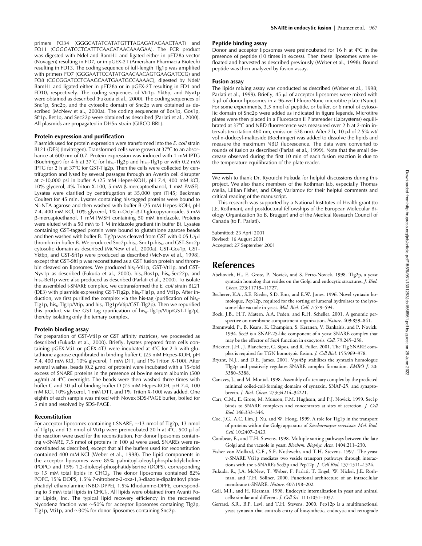primers FO34 (GGGCATATCATATGTTTAGAGATAGAACTAAT) and FO11 (CGGGATCCTCATTTCAACATAACAAAGAA). The PCR product was digested with NdeI and BamH1 and ligated either in pET28a vector (Novagen) resulting in FD7, or in pGEX-2T (Amersham Pharmacia Biotech) resulting in FD13. The coding sequence of full-length Tlg1p was amplified with primers FO7 (GGGAATTCCATATGAACAACAGTGAAGATCCG) and FO8 (CGCGGATCCTCAAGCAATGAATGCCAAAAC), digested by NdeI/ BamH1 and ligated either in pET28a or in pGEX-2T resulting in FD1 and FD10, respectively. The coding sequences of Vti1p, Ykt6p, and Nyv1p were obtained as described (Fukuda et al., 2000). The coding sequences of Snc1p, Snc2p, and the cytosolic domain of Snc2p were obtained as described (McNew et al., 2000a). The coding sequences of Bos1p, Gos1p, Sft1p, Bet1p, and Sec22p were obtained as described (Parlati et al., 2000). All plasmids are propagated in  $DH5\alpha$  strain (GIBCO BRL).

### **Protein expression and purification**

Plasmids used for protein expression were transformed into the *E. coli* strain BL21 (DE3) (Invitrogen). Transformed cells were grown at 37°C to an absorbance at 600 nm of 0.7. Protein expression was induced with 1 mM IPTG (Boehringer) for 4 h at 37°C for his<sub>6</sub>-Tlg2p and his<sub>6</sub>-Tlg1p or with 0.2 mM IPTG for 2 h at  $37^{\circ}$ C for GST-Tlg2p. Then the cells were collected by centrifugation and lysed by several passages through an Avestin cell disrupter at  $>$ 10,000 psi in buffer A (25 mM Hepes-KOH, pH 7.4, 400 mM KCl, 10% glycerol, 4% Triton X-100, 5 mM β-mercaptoethanol, 1 mM PMSF). Lysates were clarified by centrifugation at 35,000 rpm (Ti45; Beckman Coulter) for 45 min. Lysates containing his-tagged proteins were bound to Ni-NTA agarose and then washed with buffer B (25 mM Hepes-KOH, pH 7.4, 400 mM KCl, 10% glycerol, 1% n-Octyl-ß-D-glucopyranoside, 5 mM -mercaptoethanol, 1 mM PMSF) containing 50 mM imidazole. Proteins were eluted with a 50 mM to 1 M imidazole gradient (in buffer B). Lysates containing GST-tagged protein were bound to glutathione agarose beads and then washed with buffer B. Tlg2p was cleaved from GST with 0.05 U/ $\mu$ l thrombin in buffer B. We produced Snc2p-his<sub>6</sub>, Snc1p-his<sub>6</sub>, and GST-Snc2p cytosolic domain as described (McNew et al., 2000a). GST-Gos1p, GST-Ykt6p, and GST-Sft1p were produced as described (McNew et al., 1998), except that GST-Sft1p was reconstituted as a GST fusion protein and thrombin cleaved on liposomes. We produced his<sub>6</sub>-Vti1p, GST-Vti1p, and GST-Nyv1p as described (Fukuda et al., 2000). his<sub>6</sub>-Bos1p, his<sub>6</sub>-Sec22p, and his<sub>6</sub>-Bet1p were also produced as described (Parlati et al., 2000). To isolate the assembled t-SNARE complex, we cotransformed the *E. coli* strain BL21 (DE3) with plasmids expressing GST-Tlg2p, his<sub>6</sub>-Tlg1p, and Vti1p. After induction, we first purified the complex via the his-tag (purification of his $_{6}$ -Tlg1p, his<sub>6</sub>-Tlg1p/Vtip, and his<sub>6</sub>-Tlg1p/Vtip/GST-Tlg2p). Then we repurified this product via the GST tag (purification of his<sub>6</sub>-Tlg1p/Vtip/GST-Tlg2p), thereby isolating only the ternary complex.

### **Protein binding assay**

For preparation of GST-Vti1p or GST affinity matrices, we proceeded as described (Fukuda et al., 2000). Briefly, lysates prepared from cells containing pGEX-Vti1 or pGEX-4T3 were incubated at  $4^{\circ}$ C for 2 h with glutathione agarose equilibrated in binding buffer C (25 mM Hepes-KOH, pH 7.4, 400 mM KCl, 10% glycerol, 1 mM DTT, and 1% Triton X-100). After several washes, beads  $(0.2 \mu \text{mol of protein})$  were incubated with a 15-fold excess of SNARE proteins in the presence of bovine serum albumin (500 μg/ml) at 4°C overnight. The beads were then washed three times with buffer C and 30 µl of binding buffer D (25 mM Hepes-KOH, pH 7.4, 100 mM KCl, 10% glycerol, 1 mM DTT, and 1% Triton X-100) was added. One eighth of each sample was mixed with Novex SDS-PAGE buffer, boiled for 5 min and resolved by SDS-PAGE.

### **Reconstitution**

For acceptor liposomes containing t-SNARE,  $\sim$ 13 nmol of Tlg2p, 13 nmol of Tlg1p, and 13 nmol of Vti1p were preincubated 20 h at 4°C. 500  $\mu$ l of the reaction were used for the reconstitution. For donor liposomes containing v-SNARE, 7.5 nmol of proteins in 100 µl were used. SNAREs were reconstituted as described, except that all the buffers used for reconstitution contained 400 mM KCl (Weber et al., 1998). The lipid components in the acceptor liposomes were 85% palmitoyl-oleoyl-phosphatidylcholine (POPC) and 15% 1,2-dioleoyl-phosphatidylserine (DOPS), corresponding to 15 mM total lipids in CHCl<sub>3</sub>. The donor liposomes contained 82% POPC, 15% DOPS, 1.5% 7-nitrobenz-2-oxa-1,3-diazole-dipalmitoyl phosphatidyl ethanolamine (NBD-DPPE), 1.5% Rhodamine-DPPE, corresponding to 3 mM total lipids in CHCl<sub>3</sub>. All lipids were obtained from Avanti Polar Lipids, Inc. The typical lipid recovery efficiency in the recovered Nycodenz fraction was  ${\sim}50\%$  for acceptor liposomes containing Tlg2p, Tlg1p, Vti1p, and  $\sim$ 30% for donor liposomes containing Snc2p.

### **Peptide binding assay**

Donor and acceptor liposomes were preincubated for 16 h at  $4^{\circ}$ C in the presence of peptide (10 times in excess). Then these liposomes were refloated and harvested as described previously (Weber et al., 1998). Bound peptide was then analyzed by fusion assay.

### **Fusion assay**

The lipids mixing assay was conducted as described (Weber et al., 1998; Parlati et al., 1999). Briefly, 45  $\mu$ l of acceptor liposomes were mixed with 5 µl of donor liposomes in a 96-well FluoroNunc microtitre plate (Nunc). For some experiments, 3.5 nmol of peptide, or buffer, or 6 nmol of cytosolic domain of Snc2p were added as indicated in figure legends. Microtitre plates were then placed in a Fluoroscan II Platereader (Labsystems) equilibrated at 37°C and NBD fluorescence was measured over 2 h at 2-min intervals (excitation 460 nm, emission 538 nm). After 2 h, 10  $\mu$ l of 2.5% wt/ vol n-dodecyl-maltoside (Boehringer) was added to dissolve the lipids and measure the maximum NBD fluorescence. The data were converted to rounds of fusion as described (Parlati et al., 1999). Note that the small decrease observed during the first 10 min of each fusion reaction is due to the temperature equilibration of the plate reader.

We wish to thank Dr. Ryouichi Fukuda for helpful discussions during this project. We also thank members of the Rothman lab, especially Thomas Melia, Lillian Fisher, and Oleg Varlamov for their helpful comments and critical reading of the manuscript.

This research was supported by a National Institutes of Health grant (to J.E. Rothman), and postdoctoral fellowships of the European Molecular Biology Organization (to B. Brugger) and of the Medical Research Council of Canada (to F. Parlati).

Submitted: 23 April 2001 Revised: 16 August 2001 Accepted: 27 September 2001

## **References**

- Abeliovich, H., E. Grote, P. Novick, and S. Ferro-Novick. 1998. Tlg2p, a yeast syntaxin homolog that resides on the Golgi and endocytic structures. *J. Biol. Chem.* 273:11719–11727.
- Becherer, K.A., S.E. Rieder, S.D. Emr, and E.W. Jones. 1996. Novel syntaxin homologue, Pep12p, required for the sorting of lumenal hydrolases to the lysosome-like vacuole in yeast. *Mol. Biol. Cell.* 7:579–594.
- Bock, J.B., H.T. Matern, A.A. Peden, and R.H. Scheller. 2001. A genomic perspective on membrane compartment organization. *Nature.* 409:839–841.
- Brennwald, P., B. Keans, K. Champion, S. Keranen, V. Bankaitis, and P. Novick. 1994. Sec9 is a SNAP-25-like component of a yeast SNARE complex that may be the effector of Sec4 function in exocytosis. *Cell.* 79:245–258.
- Brickner, J.H., J. Blanchette, G. Sipos, and R. Fuller. 2001. The Tlg SNARE complex is required for TGN homotypic fusion. *J. Cell Biol.* 155:969–978.
- Bryant, N.J., and D.E. James. 2001. Vps45p stabilizes the syntaxin homologue Tlg2p and positively regulates SNARE complex formation. *EMBO J.* 20: 3380–3388.
- Canaves, J., and M. Montal. 1998. Assembly of a ternary complex by the predicted minimal coiled-coil-forming domains of syntaxin, SNAP-25, and synaptobrevin. *J. Biol. Chem.* 273:34214–34221.
- Carr, C.M., E. Grote, M. Munson, F.M. Hughson, and P.J. Novick. 1999. Sec1p binds to SNARE complexes and concentrates at sites of secretion. *J. Cell Biol.* 146:333–344.
- Coe, J.G., A.C. Lim, J. Xu, and W. Hong. 1999. A role for Tlg1p in the transport of proteins within the Golgi apparatus of *Saccharomyces cerevisiae*. *Mol. Biol. Cell.* 10:2407–2423.
- Conibear, E., and T.H. Stevens. 1998. Multiple sorting pathways between the late Golgi and the vacuole in yeast. *Biochem. Biophys. Acta.* 1404:211–230.
- Fisher von Mollard, G.F., S.F. Nothwehr, and T.H. Stevens. 1997. The yeast v-SNARE Vti1p mediates two vesicle transport pathways through interactions with the t-SNAREs Sed5p and Pep12p. *J. Cell Biol*. 137:1511–1524.
- Fukuda, R., J.A. McNew, T. Weber, F. Parlati, T. Engel, W. Nickel, J.E. Rothman, and T.H. Söllner. 2000. Functional architecture of an intracellular membrane t-SNARE. *Nature.* 407:198–202.
- Geli, M.I., and H. Riezman. 1998. Endocytic internalization in yeast and animal cells: similar and different. *J. Cell Sci.* 111:1031–1037.
- Gerrard, S.R., B.P. Levi, and T.H. Stevens. 2000. Pep12p is a multifunctional yeast syntaxin that controls entry of biosynthetic, endocytic and retrograde